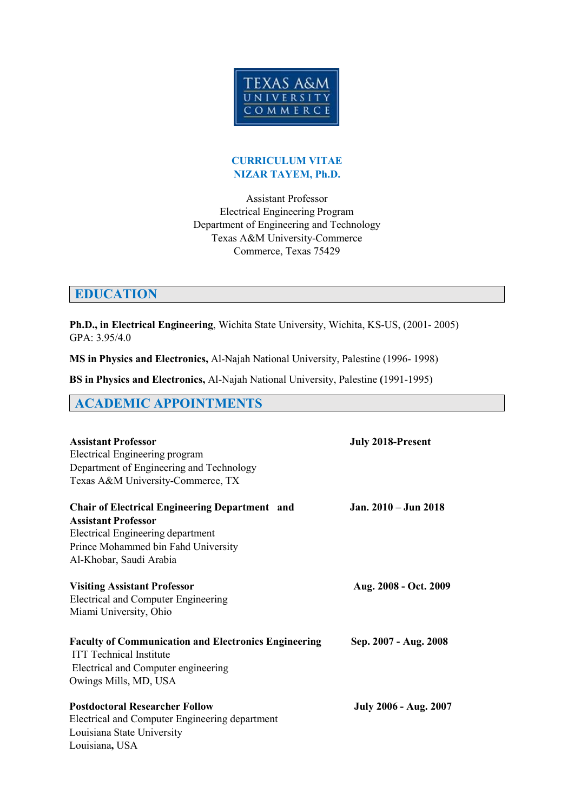

#### **CURRICULUM VITAE NIZAR TAYEM, Ph.D.**

Assistant Professor Electrical Engineering Program Department of Engineering and Technology Texas A&M University-Commerce Commerce, Texas 75429

# **EDUCATION**

**Ph.D., in Electrical Engineering**, Wichita State University, Wichita, KS-US, (2001- 2005) GPA: 3.95/4.0

**MS in Physics and Electronics,** Al-Najah National University, Palestine (1996- 1998)

**BS in Physics and Electronics,** Al-Najah National University, Palestine **(**1991-1995)

## **ACADEMIC APPOINTMENTS**

| <b>Assistant Professor</b><br>Electrical Engineering program<br>Department of Engineering and Technology<br>Texas A&M University-Commerce, TX                                              | <b>July 2018-Present</b>     |
|--------------------------------------------------------------------------------------------------------------------------------------------------------------------------------------------|------------------------------|
| <b>Chair of Electrical Engineering Department and</b><br><b>Assistant Professor</b><br>Electrical Engineering department<br>Prince Mohammed bin Fahd University<br>Al-Khobar, Saudi Arabia | Jan. 2010 – Jun 2018         |
| <b>Visiting Assistant Professor</b><br><b>Electrical and Computer Engineering</b><br>Miami University, Ohio                                                                                | Aug. 2008 - Oct. 2009        |
| <b>Faculty of Communication and Electronics Engineering</b><br><b>ITT Technical Institute</b><br>Electrical and Computer engineering<br>Owings Mills, MD, USA                              | Sep. 2007 - Aug. 2008        |
| <b>Postdoctoral Researcher Follow</b><br>Electrical and Computer Engineering department<br>Louisiana State University<br>Louisiana, USA                                                    | <b>July 2006 - Aug. 2007</b> |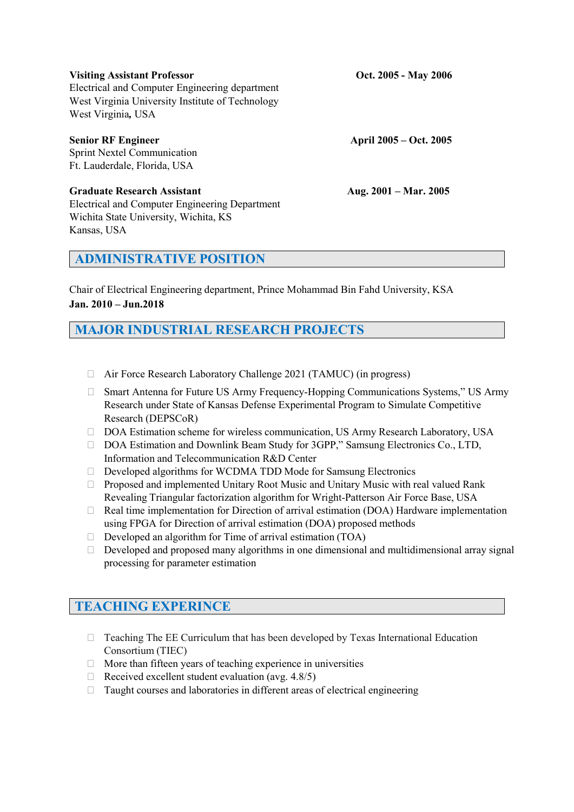#### **Visiting Assistant Professor Oct. 2005 - May 2006**

Electrical and Computer Engineering department West Virginia University Institute of Technology West Virginia*,* USA

**Senior RF Engineer April 2005 – Oct. 2005** Sprint Nextel Communication Ft. Lauderdale, Florida, USA

**Graduate Research Assistant Aug. 2001 – Mar. 2005** Electrical and Computer Engineering Department Wichita State University, Wichita, KS Kansas, USA

## **ADMINISTRATIVE POSITION**

Chair of Electrical Engineering department, Prince Mohammad Bin Fahd University, KSA **Jan. 2010 – Jun.2018**

# **MAJOR INDUSTRIAL RESEARCH PROJECTS**

- Air Force Research Laboratory Challenge 2021 (TAMUC) (in progress)
- Smart Antenna for Future US Army Frequency-Hopping Communications Systems," US Army Research under State of Kansas Defense Experimental Program to Simulate Competitive Research (DEPSCoR)
- □ DOA Estimation scheme for wireless communication, US Army Research Laboratory, USA
- □ DOA Estimation and Downlink Beam Study for 3GPP," Samsung Electronics Co., LTD, Information and Telecommunication R&D Center
- Developed algorithms for WCDMA TDD Mode for Samsung Electronics
- $\Box$  Proposed and implemented Unitary Root Music and Unitary Music with real valued Rank Revealing Triangular factorization algorithm for Wright-Patterson Air Force Base, USA
- □ Real time implementation for Direction of arrival estimation (DOA) Hardware implementation using FPGA for Direction of arrival estimation (DOA) proposed methods
- $\Box$  Developed an algorithm for Time of arrival estimation (TOA)
- $\Box$  Developed and proposed many algorithms in one dimensional and multidimensional array signal processing for parameter estimation

# **TEACHING EXPERINCE**

- Teaching The EE Curriculum that has been developed by Texas International Education Consortium (TIEC)
- $\Box$  More than fifteen years of teaching experience in universities
- $\Box$  Received excellent student evaluation (avg. 4.8/5)
- Taught courses and laboratories in different areas of electrical engineering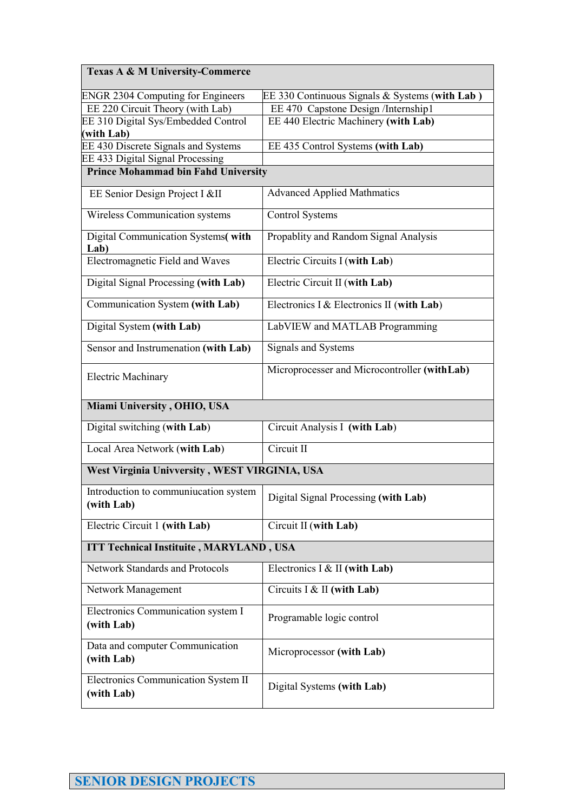| <b>Texas A &amp; M University-Commerce</b>               |                                                |  |
|----------------------------------------------------------|------------------------------------------------|--|
| <b>ENGR 2304 Computing for Engineers</b>                 | EE 330 Continuous Signals & Systems (with Lab) |  |
| EE 220 Circuit Theory (with Lab)                         | EE 470 Capstone Design /Internship1            |  |
| EE 310 Digital Sys/Embedded Control                      | EE 440 Electric Machinery (with Lab)           |  |
| (with Lab)<br>EE 430 Discrete Signals and Systems        | EE 435 Control Systems (with Lab)              |  |
| EE 433 Digital Signal Processing                         |                                                |  |
| <b>Prince Mohammad bin Fahd University</b>               |                                                |  |
|                                                          |                                                |  |
| EE Senior Design Project I &II                           | <b>Advanced Applied Mathmatics</b>             |  |
| Wireless Communication systems                           | <b>Control Systems</b>                         |  |
| Digital Communication Systems(with<br>Lab)               | Propablity and Random Signal Analysis          |  |
| <b>Electromagnetic Field and Waves</b>                   | Electric Circuits I (with Lab)                 |  |
| Digital Signal Processing (with Lab)                     | Electric Circuit II (with Lab)                 |  |
| Communication System (with Lab)                          | Electronics I & Electronics II (with Lab)      |  |
| Digital System (with Lab)                                | LabVIEW and MATLAB Programming                 |  |
| Sensor and Instrumenation (with Lab)                     | Signals and Systems                            |  |
| <b>Electric Machinary</b>                                | Microprocesser and Microcontroller (withLab)   |  |
| Miami University, OHIO, USA                              |                                                |  |
| Digital switching (with Lab)                             | Circuit Analysis I (with Lab)                  |  |
| Local Area Network (with Lab)                            | Circuit II                                     |  |
| West Virginia Univversity, WEST VIRGINIA, USA            |                                                |  |
| Introduction to communiucation system<br>(with Lab)      | Digital Signal Processing (with Lab)           |  |
| Electric Circuit 1 (with Lab)                            | Circuit II (with Lab)                          |  |
| <b>ITT Technical Instituite, MARYLAND, USA</b>           |                                                |  |
| <b>Network Standards and Protocols</b>                   | Electronics I & II (with Lab)                  |  |
| Network Management                                       | Circuits I & II (with Lab)                     |  |
| Electronics Communication system I<br>(with Lab)         | Programable logic control                      |  |
| Data and computer Communication<br>(with Lab)            | Microprocessor (with Lab)                      |  |
| <b>Electronics Communication System II</b><br>(with Lab) | Digital Systems (with Lab)                     |  |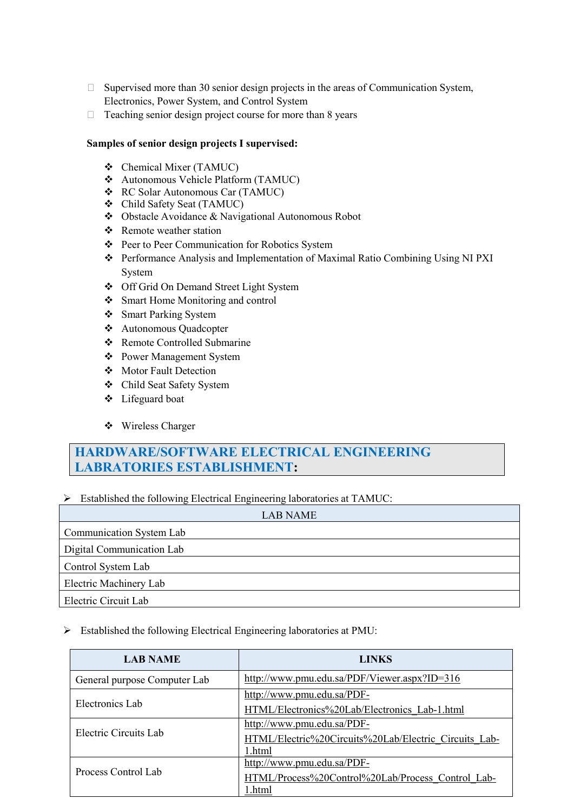- $\Box$  Supervised more than 30 senior design projects in the areas of Communication System, Electronics, Power System, and Control System
- $\Box$  Teaching senior design project course for more than 8 years

#### **Samples of senior design projects I supervised:**

- Chemical Mixer (TAMUC)
- Autonomous Vehicle Platform (TAMUC)
- RC Solar Autonomous Car (TAMUC)
- Child Safety Seat (TAMUC)
- Obstacle Avoidance & Navigational Autonomous Robot
- ❖ Remote weather station
- Peer to Peer Communication for Robotics System
- Performance Analysis and Implementation of Maximal Ratio Combining Using NI PXI System
- Off Grid On Demand Street Light System
- Smart Home Monitoring and control
- Smart Parking System
- Autonomous Quadcopter
- Remote Controlled Submarine
- Power Management System
- Motor Fault Detection
- Child Seat Safety System
- Lifeguard boat
- ❖ Wireless Charger

# **HARDWARE/SOFTWARE ELECTRICAL ENGINEERING LABRATORIES ESTABLISHMENT:**

#### $\triangleright$  Established the following Electrical Engineering laboratories at TAMUC:

| <b>LAB NAME</b>           |
|---------------------------|
| Communication System Lab  |
| Digital Communication Lab |
| Control System Lab        |
| Electric Machinery Lab    |
| Electric Circuit Lab      |

#### Established the following Electrical Engineering laboratories at PMU:

| <b>LAB NAME</b>              | <b>LINKS</b>                                          |
|------------------------------|-------------------------------------------------------|
| General purpose Computer Lab | http://www.pmu.edu.sa/PDF/Viewer.aspx?ID=316          |
| Electronics Lab              | http://www.pmu.edu.sa/PDF-                            |
|                              | HTML/Electronics%20Lab/Electronics Lab-1.html         |
| Electric Circuits Lab        | http://www.pmu.edu.sa/PDF-                            |
|                              | HTML/Electric%20Circuits%20Lab/Electric Circuits Lab- |
|                              | 1.html                                                |
| Process Control Lab          | http://www.pmu.edu.sa/PDF-                            |
|                              | HTML/Process%20Control%20Lab/Process Control Lab-     |
|                              | 1.html                                                |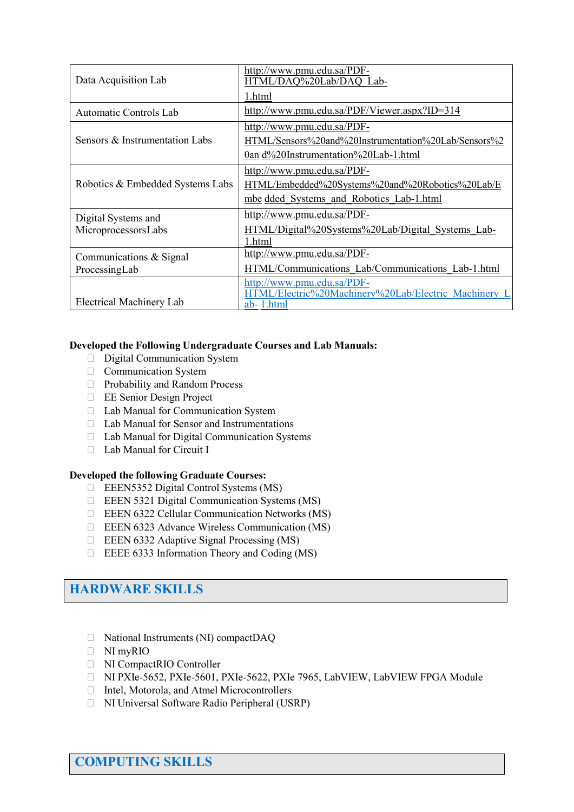| Data Acquisition Lab                       | http://www.pmu.edu.sa/PDF-<br>HTML/DAQ%20Lab/DAQ_Lab-                                                                      |
|--------------------------------------------|----------------------------------------------------------------------------------------------------------------------------|
|                                            | 1.html                                                                                                                     |
| Automatic Controls Lab                     | http://www.pmu.edu.sa/PDF/Viewer.aspx?ID=314                                                                               |
| Sensors & Instrumentation Labs             | http://www.pmu.edu.sa/PDF-<br>HTML/Sensors%20and%20Instrumentation%20Lab/Sensors%2<br>0an d%20Instrumentation%20Lab-1.html |
| Robotics & Embedded Systems Labs           | http://www.pmu.edu.sa/PDF-<br>HTML/Embedded%20Systems%20and%20Robotics%20Lab/E<br>mbe dded Systems and Robotics Lab-1.html |
| Digital Systems and<br>MicroprocessorsLabs | http://www.pmu.edu.sa/PDF-<br>HTML/Digital%20Systems%20Lab/Digital Systems Lab-<br>1.html                                  |
| Communications & Signal<br>ProcessingLab   | http://www.pmu.edu.sa/PDF-<br>HTML/Communications Lab/Communications Lab-1.html                                            |
| <b>Electrical Machinery Lab</b>            | http://www.pmu.edu.sa/PDF-<br>HTML/Electric%20Machinery%20Lab/Electric Machinery L<br>ab-1.html                            |

#### **Developed the Following Undergraduate Courses and Lab Manuals:**

- Digital Communication System
- Communication System
- □ Probability and Random Process
- EE Senior Design Project
- □ Lab Manual for Communication System
- □ Lab Manual for Sensor and Instrumentations
- Lab Manual for Digital Communication Systems
- □ Lab Manual for Circuit I

#### **Developed the following Graduate Courses:**

- EEEN5352 Digital Control Systems (MS)
- EEEN 5321 Digital Communication Systems (MS)
- EEEN 6322 Cellular Communication Networks (MS)
- EEEN 6323 Advance Wireless Communication (MS)
- $\Box$  EEEN 6332 Adaptive Signal Processing (MS)
- $\Box$  EEEE 6333 Information Theory and Coding (MS)

# **HARDWARE SKILLS**

- □ National Instruments (NI) compactDAQ
- NI myRIO
- NI CompactRIO Controller
- NI PXIe-5652, PXIe-5601, PXIe-5622, PXIe 7965, LabVIEW, LabVIEW FPGA Module
- Intel, Motorola, and Atmel Microcontrollers
- NI Universal Software Radio Peripheral (USRP)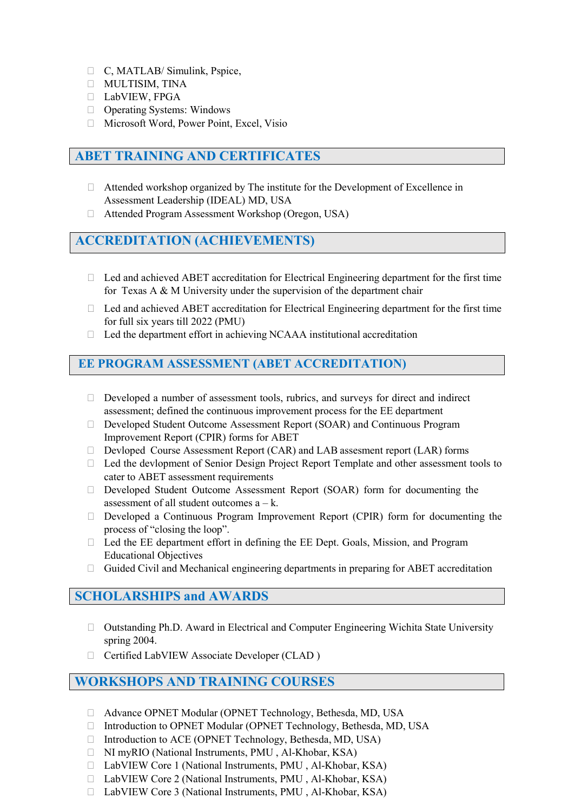- C, MATLAB/ Simulink, Pspice,
- MULTISIM, TINA
- LabVIEW, FPGA
- □ Operating Systems: Windows
- □ Microsoft Word, Power Point, Excel, Visio

## **ABET TRAINING AND CERTIFICATES**

- Attended workshop organized by The institute for the Development of Excellence in Assessment Leadership (IDEAL) MD, USA
- Attended Program Assessment Workshop (Oregon, USA)

## **ACCREDITATION (ACHIEVEMENTS)**

- □ Led and achieved ABET accreditation for Electrical Engineering department for the first time for Texas A & M University under the supervision of the department chair
- $\Box$  Led and achieved ABET accreditation for Electrical Engineering department for the first time for full six years till 2022 (PMU)
- $\Box$  Led the department effort in achieving NCAAA institutional accreditation

### **EE PROGRAM ASSESSMENT (ABET ACCREDITATION)**

- $\Box$  Developed a number of assessment tools, rubrics, and surveys for direct and indirect assessment; defined the continuous improvement process for the EE department
- Developed Student Outcome Assessment Report (SOAR) and Continuous Program Improvement Report (CPIR) forms for ABET
- □ Devloped Course Assessment Report (CAR) and LAB assesment report (LAR) forms
- □ Led the devlopment of Senior Design Project Report Template and other assessment tools to cater to ABET assessment requirements
- Developed Student Outcome Assessment Report (SOAR) form for documenting the assessment of all student outcomes  $a - k$ .
- Developed a Continuous Program Improvement Report (CPIR) form for documenting the process of "closing the loop".
- □ Led the EE department effort in defining the EE Dept. Goals, Mission, and Program Educational Objectives
- $\Box$  Guided Civil and Mechanical engineering departments in preparing for ABET accreditation

### **SCHOLARSHIPS and AWARDS**

- Outstanding Ph.D. Award in Electrical and Computer Engineering Wichita State University spring 2004.
- □ Certified LabVIEW Associate Developer (CLAD)

### **WORKSHOPS AND TRAINING COURSES**

- Advance OPNET Modular (OPNET Technology, Bethesda, MD, USA
- □ Introduction to OPNET Modular (OPNET Technology, Bethesda, MD, USA
- □ Introduction to ACE (OPNET Technology, Bethesda, MD, USA)
- NI myRIO (National Instruments, PMU , Al-Khobar, KSA)
- □ LabVIEW Core 1 (National Instruments, PMU, Al-Khobar, KSA)
- □ LabVIEW Core 2 (National Instruments, PMU, Al-Khobar, KSA)
- □ LabVIEW Core 3 (National Instruments, PMU, Al-Khobar, KSA)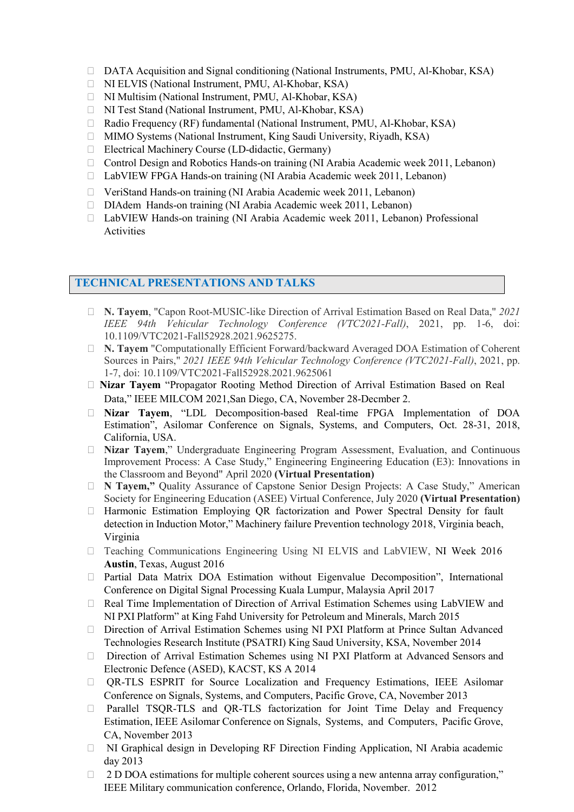- □ DATA Acquisition and Signal conditioning (National Instruments, PMU, Al-Khobar, KSA)
- NI ELVIS (National Instrument, PMU, Al-Khobar, KSA)
- NI Multisim (National Instrument, PMU, Al-Khobar, KSA)
- NI Test Stand (National Instrument, PMU, Al-Khobar, KSA)
- □ Radio Frequency (RF) fundamental (National Instrument, PMU, Al-Khobar, KSA)
- MIMO Systems (National Instrument, King Saudi University, Riyadh, KSA)
- Electrical Machinery Course (LD-didactic, Germany)
- □ Control Design and Robotics Hands-on training (NI Arabia Academic week 2011, Lebanon)
- □ LabVIEW FPGA Hands-on training (NI Arabia Academic week 2011, Lebanon)
- VeriStand Hands-on training (NI Arabia Academic week 2011, Lebanon)
- DIAdem Hands-on training (NI Arabia Academic week 2011, Lebanon)
- LabVIEW Hands-on training (NI Arabia Academic week 2011, Lebanon) Professional Activities

### **TECHNICAL PRESENTATIONS AND TALKS**

- **N. Tayem**, "Capon Root-MUSIC-like Direction of Arrival Estimation Based on Real Data," *2021 IEEE 94th Vehicular Technology Conference (VTC2021-Fall)*, 2021, pp. 1-6, doi: 10.1109/VTC2021-Fall52928.2021.9625275.
- **N. Tayem** "Computationally Efficient Forward/backward Averaged DOA Estimation of Coherent Sources in Pairs," *2021 IEEE 94th Vehicular Technology Conference (VTC2021-Fall)*, 2021, pp. 1-7, doi: 10.1109/VTC2021-Fall52928.2021.9625061
- **Nizar Tayem** "Propagator Rooting Method Direction of Arrival Estimation Based on Real Data," IEEE MILCOM 2021,San Diego, CA, November 28-Decmber 2.
- **Nizar Tayem**, "LDL Decomposition-based Real-time FPGA Implementation of DOA Estimation", Asilomar Conference on Signals, Systems, and Computers, Oct. 28-31, 2018, California, USA.
- **Nizar Tayem**," Undergraduate Engineering Program Assessment, Evaluation, and Continuous Improvement Process: A Case Study," Engineering Engineering Education (E3): Innovations in the Classroom and Beyond" April 2020 **(Virtual Presentation)**
- **N Tayem,"** Quality Assurance of Capstone Senior Design Projects: A Case Study," American Society for Engineering Education (ASEE) Virtual Conference, July 2020 **(Virtual Presentation)**
- Harmonic Estimation Employing QR factorization and Power Spectral Density for fault detection in Induction Motor," Machinery failure Prevention technology 2018, Virginia beach, Virginia
- Teaching Communications Engineering Using NI ELVIS and LabVIEW, NI Week 2016 **Austin**, Texas, August 2016
- Partial Data Matrix DOA Estimation without Eigenvalue [Decomposition",](http://www.pmu.edu.sa/kcfinder/upload/files/Partial%20Data%20Matrix%20DOA%20Estimation%20without%20Eigenvalue%20Decomposition.pdf) International Conference on Digital Signal Processing Kuala Lumpur, Malaysia April 2017
- $\Box$  Real Time Implementation of Direction of Arrival Estimation Schemes using LabVIEW and NI PXI Platform" at King Fahd University for Petroleum and Minerals, March 2015
- Direction of Arrival Estimation Schemes using NI PXI Platform at Prince Sultan Advanced Technologies Research Institute (PSATRI) King Saud University, KSA, November 2014
- Direction of Arrival Estimation Schemes using NI PXI Platform at Advanced Sensors and Electronic Defence (ASED), KACST, KS A 2014
- QR-TLS ESPRIT for Source [Localization](http://www.pmu.edu.sa/kcfinder/upload/files/Asilomar_paper_2.pdf) and Frequency Estimations, IEEE Asilomar Conference on Signals, Systems, and Computers, Pacific Grove, CA, November 2013
- Parallel TSQR-TLS and QR-TLS factorization for Joint Time Delay and Frequency Estimation, IEEE Asilomar Conference on Signals, Systems, and Computers, Pacific Grove, CA, November 2013
- NI Graphical design in Developing RF Direction Finding Application, NI Arabia academic day 2013
- □ 2 D DOA estimations for multiple coherent sources using a new antenna array configuration," IEEE Military communication conference, Orlando, Florida, November. 2012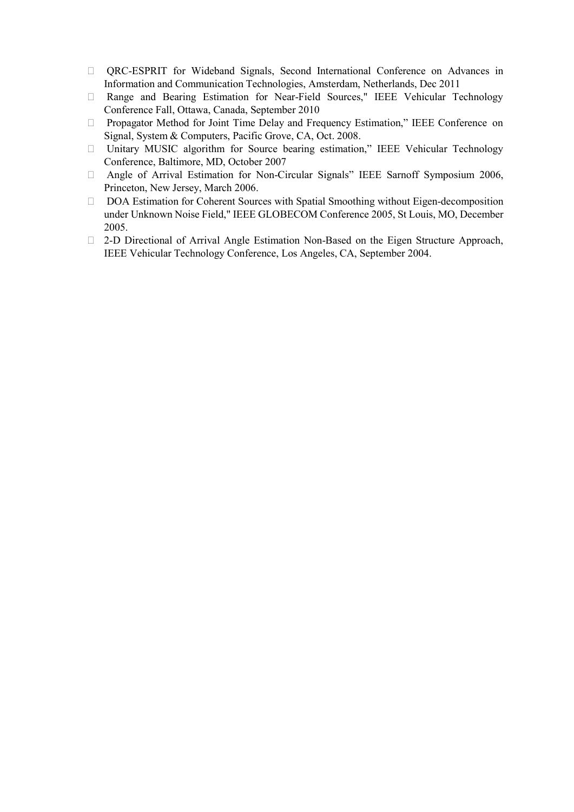- QRC-ESPRIT for Wideband Signals, Second International Conference on Advances in Information and Communication Technologies, Amsterdam, Netherlands, Dec 2011
- Range and Bearing Estimation for Near-Field Sources," IEEE Vehicular Technology Conference Fall, Ottawa, Canada, September 2010
- Propagator Method for Joint Time Delay and Frequency Estimation," IEEE Conference on Signal, System & Computers, Pacific Grove, CA, Oct. 2008.
- Unitary MUSIC algorithm for Source bearing estimation," IEEE Vehicular Technology Conference, Baltimore, MD, October 2007
- Angle of Arrival Estimation for Non-Circular Signals" IEEE Sarnoff Symposium 2006, Princeton, New Jersey, March 2006.
- DOA Estimation for Coherent Sources with Spatial Smoothing without Eigen-decomposition under Unknown Noise Field," IEEE GLOBECOM Conference 2005, St Louis, MO, December 2005.
- 2-D Directional of Arrival Angle Estimation Non-Based on the Eigen Structure Approach, IEEE Vehicular Technology Conference, Los Angeles, CA, September 2004.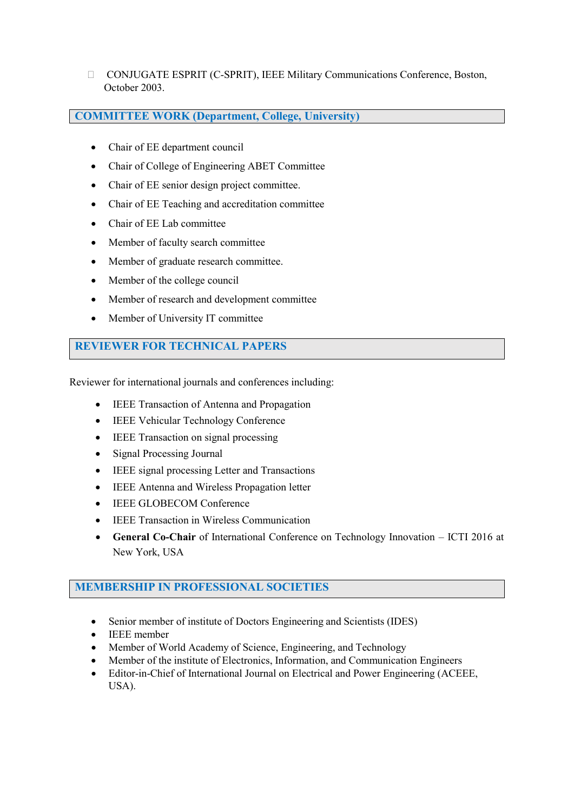CONJUGATE ESPRIT (C-SPRIT), IEEE Military Communications Conference, Boston, October 2003.

### **COMMITTEE WORK (Department, College, University)**

- Chair of EE department council
- Chair of College of Engineering ABET Committee
- Chair of EE senior design project committee.
- Chair of EE Teaching and accreditation committee
- Chair of EE Lab committee
- Member of faculty search committee
- Member of graduate research committee.
- Member of the college council
- Member of research and development committee
- Member of University IT committee

### **REVIEWER FOR TECHNICAL PAPERS**

Reviewer for international journals and conferences including:

- IEEE Transaction of Antenna and Propagation
- IEEE Vehicular Technology Conference
- IEEE Transaction on signal processing
- Signal Processing Journal
- IEEE signal processing Letter and Transactions
- IEEE Antenna and Wireless Propagation letter
- **IEEE GLOBECOM Conference**
- **IEEE Transaction in Wireless Communication**
- **General Co-Chair** of International Conference on Technology Innovation ICTI 2016 at New York, USA

### **MEMBERSHIP IN PROFESSIONAL SOCIETIES**

- Senior member of institute of Doctors Engineering and Scientists (IDES)
- IEEE member
- Member of World Academy of Science, Engineering, and Technology
- Member of the institute of Electronics, Information, and Communication Engineers
- Editor-in-Chief of International Journal on Electrical and Power Engineering (ACEEE, USA).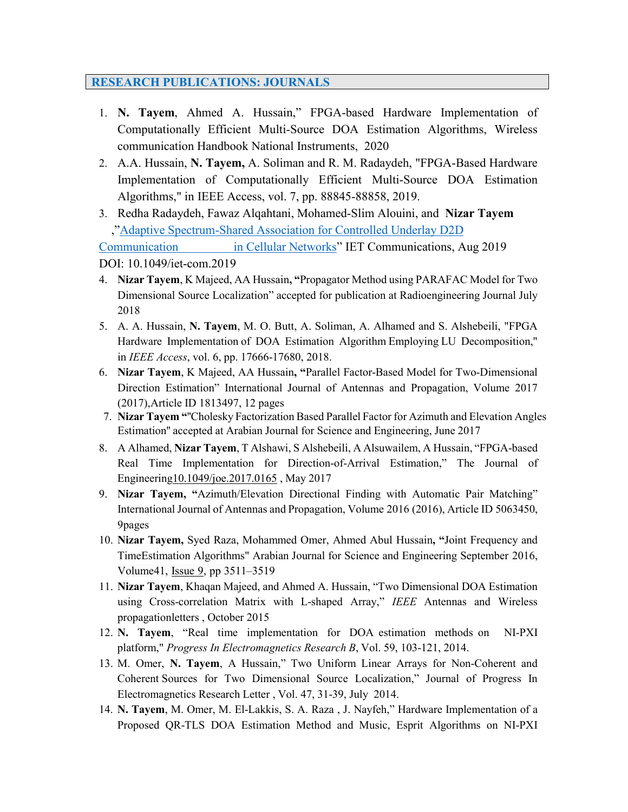## **RESEARCH PUBLICATIONS: JOURNALS**

- 1. **N. Tayem**, Ahmed A. Hussain," FPGA-based Hardware Implementation of Computationally Efficient Multi-Source DOA Estimation Algorithms, Wireless communication Handbook National Instruments, 2020
- 2. A.A. Hussain, **N. Tayem,** A. Soliman and R. M. Radaydeh, "FPGA-Based Hardware Implementation of Computationally Efficient Multi-Source DOA Estimation Algorithms," in IEEE Access, vol. 7, pp. 88845-88858, 2019.
- 3. Redha Radaydeh, Fawaz Alqahtani, [Mohamed-Slim](https://www.researchgate.net/scientific-contributions/7792328_Mohamed-Slim_Alouini?_sg=77EyGap-_2n_Ks2upG79UWdU-OGoQFaTKapxj3HfUFVpw5OPZC0RH1R2RGZu7l3U4C3N2sAtqhXYXF0) Alouini, and **Nizar Tayem** ,"Adaptive [Spectrum-Shared](https://www.researchgate.net/publication/335350283_Adaptive_Spectrum-Shared_Association_for_Controlled_Underlay_D2D_Communication_in_Cellular_Networks?_sg=BYKbKA6bU7BlavzNEQV2rJNFhhmWW5M9KKB77SdG169HYgMcUQ3kkdwSKALeW_doyYhzhep8pghCexQ) Association for Controlled Underlay D2D

[Communication in](https://www.researchgate.net/publication/335350283_Adaptive_Spectrum-Shared_Association_for_Controlled_Underlay_D2D_Communication_in_Cellular_Networks?_sg=BYKbKA6bU7BlavzNEQV2rJNFhhmWW5M9KKB77SdG169HYgMcUQ3kkdwSKALeW_doyYhzhep8pghCexQ) Cellular Networks" IET Communications, Aug 2019

DOI: 10.1049/iet-com.2019

- 4. **Nizar Tayem**, K Majeed, AA Hussain**, "**Propagator Method using PARAFAC Model for Two Dimensional Source Localization" accepted for publication at Radioengineering Journal July 2018
- 5. A. A. Hussain, **N. Tayem**, M. O. Butt, A. Soliman, A. Alhamed and S. Alshebeili, "FPGA Hardware Implementation of DOA Estimation Algorithm Employing LU Decomposition," in *IEEE Access*, vol. 6, pp. 17666-17680, 2018.
- 6. **Nizar Tayem**, K Majeed, AA Hussain**, "**[Parallel Factor-Based Model for Two-Dimensional](http://scholar.google.com/citations?view_op=view_citation&hl=en&user=R9Z-glQAAAAJ&sortby=pubdate&citation_for_view=R9Z-glQAAAAJ%3A4JMBOYKVnBMC) Direction [Estimation"](http://scholar.google.com/citations?view_op=view_citation&hl=en&user=R9Z-glQAAAAJ&sortby=pubdate&citation_for_view=R9Z-glQAAAAJ%3A4JMBOYKVnBMC) International Journal of Antennas and Propagation, Volume 2017 (2017),Article ID 1813497, 12 pages
- 7. **Nizar Tayem "**''Cholesky Factorization Based Parallel Factor for Azimuth and Elevation Angles Estimation'' accepted at Arabian Journal for Science and Engineering, June 2017
- 8. A Alhamed, **Nizar Tayem**, T Alshawi, S Alshebeili, A Alsuwailem, A Hussain, ["FPGA-based](http://scholar.google.com/citations?view_op=view_citation&hl=en&user=R9Z-glQAAAAJ&sortby=pubdate&citation_for_view=R9Z-glQAAAAJ%3ARHpTSmoSYBkC) Real Time Implementation for [Direction-of-Arrival](http://scholar.google.com/citations?view_op=view_citation&hl=en&user=R9Z-glQAAAAJ&sortby=pubdate&citation_for_view=R9Z-glQAAAAJ%3ARHpTSmoSYBkC) Estimation," The Journal of Engineerin[g10.1049/joe.2017.0165](http://dx.doi.org/10.1049/joe.2017.0165) , May 2017
- 9. **Nizar Tayem, "**Azimuth/Elevation Directional Finding with Automatic Pair Matching" International Journal of Antennas and Propagation, Volume 2016 (2016), Article ID 5063450, 9pages
- 10. **Nizar Tayem,** Syed Raza, Mohammed Omer, Ahmed Abul Hussain**, "**Joint Frequency and TimeEstimation Algorithms" Arabian Journal for Science and Engineering September 2016, Volume41, [Issue](http://link.springer.com/journal/13369/41/9/page/1) 9, pp 3511–3519
- 11. **Nizar Tayem**, Khaqan Majeed, and Ahmed A. Hussain, "Two Dimensional DOA Estimation using Cross-correlation Matrix with L-shaped Array," *IEEE* Antennas and Wireless propagationletters , October 2015
- 12. **N. Tayem**, "Real time implementation for DOA estimation methods on NI-PXI platform," *Progress In Electromagnetics Research B*, Vol. 59, 103-121, 2014.
- 13. M. Omer, **N. Tayem**, A Hussain," Two Uniform Linear Arrays for Non-Coherent and Coherent Sources for Two Dimensional Source Localization," Journal of Progress In Electromagnetics Research Letter , Vol. 47, 31-39, July 2014.
- 14. **N. Tayem**, M. Omer, M. El-Lakkis, S. A. Raza , J. Nayfeh," [Hardware Implementation of a](http://www.jpier.org/pierc/pier.php?paper=13091001) Proposed QR-TLS DOA Estimation Method and Music, Esprit [Algorithms](http://www.jpier.org/pierc/pier.php?paper=13091001) on NI-PXI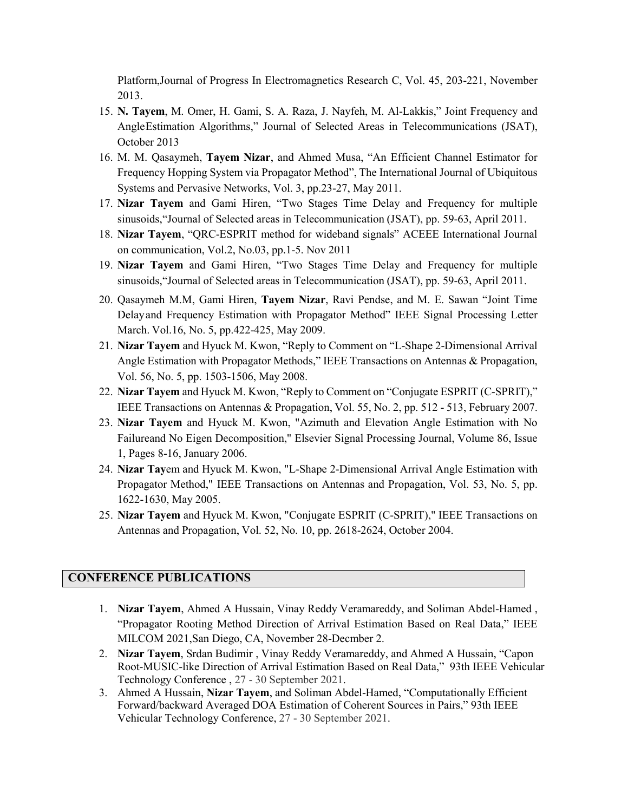[Platform,](http://www.jpier.org/pierc/pier.php?paper=13091001)Journal of Progress In Electromagnetics Research C, Vol. 45, 203-221, November 2013.

- 15. **N. Tayem**, M. Omer, H. Gami, S. A. Raza, J. Nayfeh, M. Al-Lakkis," Joint Frequency and AngleEstimation Algorithms," Journal of Selected Areas in Telecommunications (JSAT), October 2013
- 16. M. M. Qasaymeh, **Tayem Nizar**, and Ahmed Musa, "An Efficient Channel Estimator for Frequency Hopping System via Propagator Method", The International Journal of Ubiquitous Systems and Pervasive Networks, Vol. 3, pp.23-27, May 2011.
- 17. **Nizar Tayem** and Gami Hiren, "Two Stages Time Delay and Frequency for multiple sinusoids,"Journal of Selected areas in Telecommunication (JSAT), pp. 59-63, April 2011.
- 18. **Nizar Tayem**, "QRC-ESPRIT method for wideband signals" ACEEE International Journal on communication, Vol.2, No.03, pp.1-5. Nov 2011
- 19. **Nizar Tayem** and Gami Hiren, "Two Stages Time Delay and Frequency for multiple sinusoids,"Journal of Selected areas in Telecommunication (JSAT), pp. 59-63, April 2011.
- 20. Qasaymeh M.M, Gami Hiren, **Tayem Nizar**, Ravi Pendse, and M. E. Sawan "Joint Time Delayand Frequency Estimation with Propagator Method" IEEE Signal Processing Letter March. Vol.16, No. 5, pp.422-425, May 2009.
- 21. **Nizar Tayem** and Hyuck M. Kwon, "Reply to Comment on "L-Shape 2-Dimensional Arrival Angle Estimation with Propagator Methods," IEEE Transactions on Antennas & Propagation, Vol. 56, No. 5, pp. 1503-1506, May 2008.
- 22. **Nizar Tayem** and Hyuck M. Kwon, "Reply to Comment on "Conjugate ESPRIT (C-SPRIT)," IEEE Transactions on Antennas & Propagation, Vol. 55, No. 2, pp. 512 - 513, February 2007.
- 23. **Nizar Tayem** and Hyuck M. Kwon, "Azimuth and Elevation Angle Estimation with No Failureand No Eigen Decomposition," Elsevier Signal Processing Journal, Volume 86, Issue 1, Pages 8-16, January 2006.
- 24. **Nizar Tay**em and Hyuck M. Kwon, "L-Shape 2-Dimensional Arrival Angle Estimation with Propagator Method," IEEE Transactions on Antennas and Propagation, Vol. 53, No. 5, pp. 1622-1630, May 2005.
- 25. **Nizar Tayem** and Hyuck M. Kwon, "Conjugate ESPRIT (C-SPRIT)," IEEE Transactions on Antennas and Propagation, Vol. 52, No. 10, pp. 2618-2624, October 2004.

#### **CONFERENCE PUBLICATIONS**

- 1. **Nizar Tayem**, Ahmed A Hussain, Vinay Reddy Veramareddy, and Soliman Abdel-Hamed , "Propagator Rooting Method Direction of Arrival Estimation Based on Real Data," IEEE MILCOM 2021,San Diego, CA, November 28-Decmber 2.
- 2. **Nizar Tayem**, Srdan Budimir , Vinay Reddy Veramareddy, and Ahmed A Hussain, "Capon Root-MUSIC-like Direction of Arrival Estimation Based on Real Data," 93th IEEE Vehicular Technology Conference , 27 - 30 September 2021.
- 3. Ahmed A Hussain, **Nizar Tayem**, and Soliman Abdel-Hamed, "Computationally Efficient Forward/backward Averaged DOA Estimation of Coherent Sources in Pairs," 93th IEEE Vehicular Technology Conference, 27 - 30 September 2021.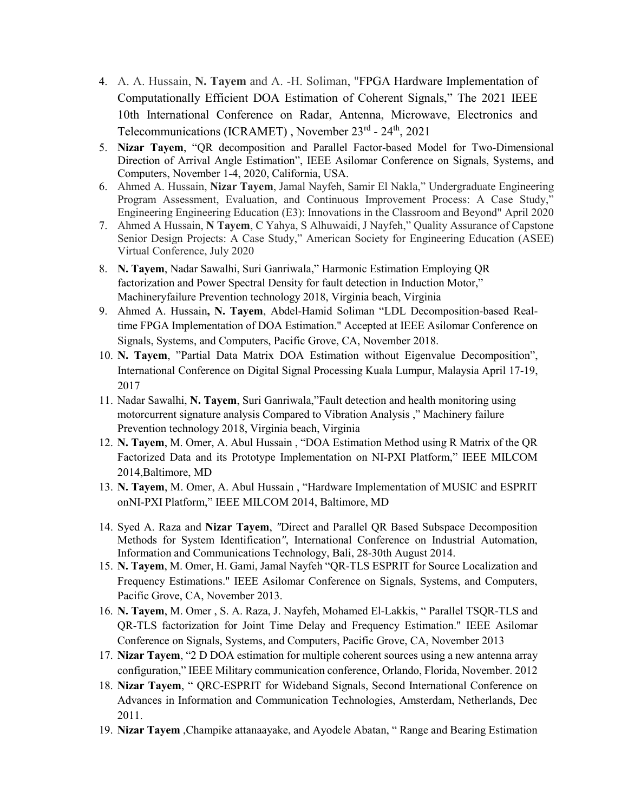- 4. A. A. Hussain, **N. Tayem** and A. -H. Soliman, "FPGA Hardware Implementation of Computationally Efficient DOA Estimation of Coherent Signals," The 2021 IEEE 10th International Conference on Radar, Antenna, Microwave, Electronics and Telecommunications (ICRAMET) , November 23rd - 24th, 2021
- 5. **Nizar Tayem**, "QR decomposition and Parallel Factor-based Model for Two-Dimensional Direction of Arrival Angle Estimation", IEEE Asilomar Conference on Signals, Systems, and Computers, November 1-4, 2020, California, USA.
- 6. Ahmed A. Hussain, **Nizar Tayem**, Jamal Nayfeh, Samir El Nakla," Undergraduate Engineering Program Assessment, Evaluation, and Continuous Improvement Process: A Case Study," Engineering Engineering Education (E3): Innovations in the Classroom and Beyond" April 2020
- 7. Ahmed A Hussain, **N Tayem**, C Yahya, S Alhuwaidi, J Nayfeh," Quality Assurance of Capstone Senior Design Projects: A Case Study," American Society for Engineering Education (ASEE) Virtual Conference, July 2020
- 8. **N. Tayem**, Nadar Sawalhi, Suri Ganriwala," Harmonic Estimation Employing QR factorization and Power Spectral Density for fault detection in Induction Motor," Machineryfailure Prevention technology 2018, Virginia beach, Virginia
- 9. Ahmed A. Hussain**, N. Tayem**, Abdel-Hamid Soliman "LDL Decomposition-based Realtime FPGA Implementation of DOA Estimation." Accepted at IEEE Asilomar Conference on Signals, Systems, and Computers, Pacific Grove, CA, November 2018.
- 10. **N. Tayem**, "Partial Data Matrix DOA Estimation without Eigenvalue [Decomposition",](http://www.pmu.edu.sa/kcfinder/upload/files/Partial%20Data%20Matrix%20DOA%20Estimation%20without%20Eigenvalue%20Decomposition.pdf) International Conference on Digital Signal Processing Kuala Lumpur, Malaysia April 17-19, 2017
- 11. Nadar Sawalhi, **N. Tayem**, Suri Ganriwala,"Fault detection and health monitoring using motorcurrent signature analysis Compared to Vibration Analysis ," Machinery failure Prevention technology 2018, Virginia beach, Virginia
- 12. **N. Tayem**, M. Omer, A. Abul Hussain , ["DOA Estimation Method using R Matrix of the QR](http://www.pmu.edu.sa/kcfinder/upload/files/1569977167.pdf) [Factorized Data and its Prototype Implementation on NI-PXI Platform,](http://www.pmu.edu.sa/kcfinder/upload/files/1569977167.pdf)" IEEE MILCOM 2014,Baltimore, MD
- 13. **N. Tayem**, M. Omer, A. Abul Hussain , "Hardware Implementation of MUSIC and ESPRIT onNI-PXI Platform," IEEE MILCOM 2014, Baltimore, MD
- 14. Syed A. Raza and **Nizar Tayem**, *"*Direct and Parallel QR Based Subspace Decomposition Methods for System Identification*"*, International Conference on Industrial Automation, Information and Communications Technology, Bali, 28-30th August 2014.
- 15. **N. Tayem**, M. Omer, H. Gami, Jamal Nayfeh ["QR-TLS ESPRIT for Source Localization and](http://www.pmu.edu.sa/kcfinder/upload/files/Asilomar_paper_2.pdf) [Frequency Estimations.](http://www.pmu.edu.sa/kcfinder/upload/files/Asilomar_paper_2.pdf)" IEEE Asilomar Conference on Signals, Systems, and Computers, Pacific Grove, CA, November 2013.
- 16. **N. Tayem**, M. Omer , S. A. Raza, J. Nayfeh, Mohamed El-Lakkis, " Parallel TSQR-TLS and QR-TLS factorization for Joint Time Delay and Frequency Estimation." IEEE Asilomar Conference on Signals, Systems, and Computers, Pacific Grove, CA, November 2013
- 17. **Nizar Tayem**, "2 D DOA estimation for multiple coherent sources using a new antenna array configuration," IEEE Military communication conference, Orlando, Florida, November. 2012
- 18. **Nizar Tayem**, " QRC-ESPRIT for Wideband Signals, Second International Conference on Advances in Information and Communication Technologies, Amsterdam, Netherlands, Dec 2011.
- 19. **Nizar Tayem** ,Champike attanaayake, and Ayodele Abatan, " Range and Bearing Estimation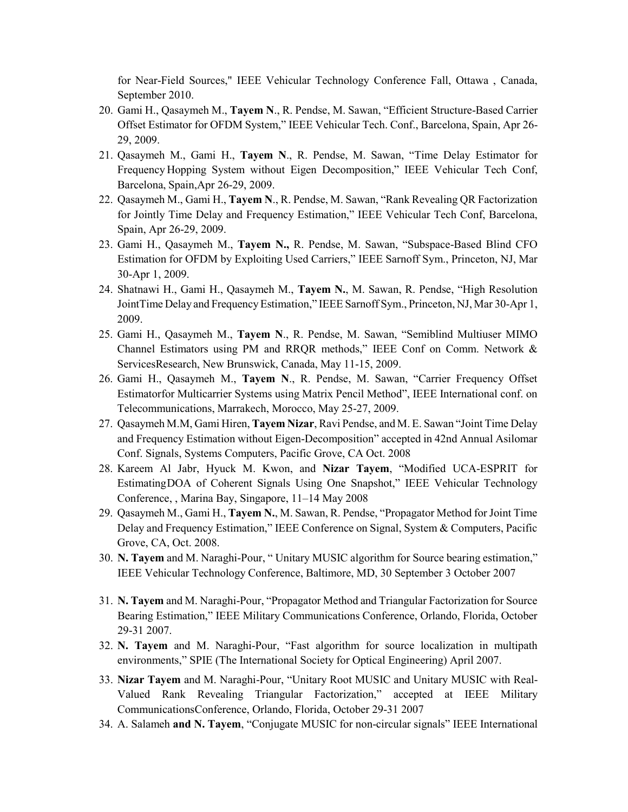for Near-Field Sources," IEEE Vehicular Technology Conference Fall, Ottawa , Canada, September 2010.

- 20. Gami H., Qasaymeh M., **Tayem N**., R. Pendse, M. Sawan, "Efficient Structure-Based Carrier Offset Estimator for OFDM System," IEEE Vehicular Tech. Conf., Barcelona, Spain, Apr 26- 29, 2009.
- 21. Qasaymeh M., Gami H., **Tayem N**., R. Pendse, M. Sawan, "Time Delay Estimator for Frequency Hopping System without Eigen Decomposition," IEEE Vehicular Tech Conf, Barcelona, Spain,Apr 26-29, 2009.
- 22. Qasaymeh M., Gami H., **Tayem N**., R. Pendse, M. Sawan, "Rank Revealing QR Factorization for Jointly Time Delay and Frequency Estimation," IEEE Vehicular Tech Conf, Barcelona, Spain, Apr 26-29, 2009.
- 23. Gami H., Qasaymeh M., **Tayem N.,** R. Pendse, M. Sawan, "Subspace-Based Blind CFO Estimation for OFDM by Exploiting Used Carriers," IEEE Sarnoff Sym., Princeton, NJ, Mar 30-Apr 1, 2009.
- 24. Shatnawi H., Gami H., Qasaymeh M., **Tayem N.**, M. Sawan, R. Pendse, "High Resolution JointTime Delay and Frequency Estimation," IEEE Sarnoff Sym., Princeton, NJ, Mar 30-Apr 1, 2009.
- 25. Gami H., Qasaymeh M., **Tayem N**., R. Pendse, M. Sawan, "Semiblind Multiuser MIMO Channel Estimators using PM and RRQR methods," IEEE Conf on Comm. Network & ServicesResearch, New Brunswick, Canada, May 11-15, 2009.
- 26. Gami H., Qasaymeh M., **Tayem N**., R. Pendse, M. Sawan, "Carrier Frequency Offset Estimatorfor Multicarrier Systems using Matrix Pencil Method", IEEE International conf. on Telecommunications, Marrakech, Morocco, May 25-27, 2009.
- 27. Qasaymeh M.M, Gami Hiren, **Tayem Nizar**, Ravi Pendse, and M. E. Sawan "Joint Time Delay and Frequency Estimation without Eigen-Decomposition" accepted in 42nd Annual Asilomar Conf. Signals, Systems Computers, Pacific Grove, CA Oct. 2008
- 28. Kareem Al Jabr, Hyuck M. Kwon, and **Nizar Tayem**, "Modified UCA-ESPRIT for EstimatingDOA of Coherent Signals Using One Snapshot," IEEE Vehicular Technology Conference, , Marina Bay, Singapore, 11–14 May 2008
- 29. Qasaymeh M., Gami H., **Tayem N.**, M. Sawan, R. Pendse, "Propagator Method for Joint Time Delay and Frequency Estimation," IEEE Conference on Signal, System & Computers, Pacific Grove, CA, Oct. 2008.
- 30. **N. Tayem** and M. Naraghi-Pour, " Unitary MUSIC algorithm for Source bearing estimation," IEEE Vehicular Technology Conference, Baltimore, MD, 30 September 3 October 2007
- 31. **N. Tayem** and M. Naraghi-Pour, "Propagator Method and Triangular Factorization for Source Bearing Estimation," IEEE Military Communications Conference, Orlando, Florida, October 29-31 2007.
- 32. **N. Tayem** and M. Naraghi-Pour, "Fast algorithm for source localization in multipath environments," SPIE (The International Society for Optical Engineering) April 2007.
- 33. **Nizar Tayem** and M. Naraghi-Pour, "Unitary Root MUSIC and Unitary MUSIC with Real-Valued Rank Revealing Triangular Factorization," accepted at IEEE Military CommunicationsConference, Orlando, Florida, October 29-31 2007
- 34. A. Salameh **and N. Tayem**, "Conjugate MUSIC for non-circular signals" IEEE International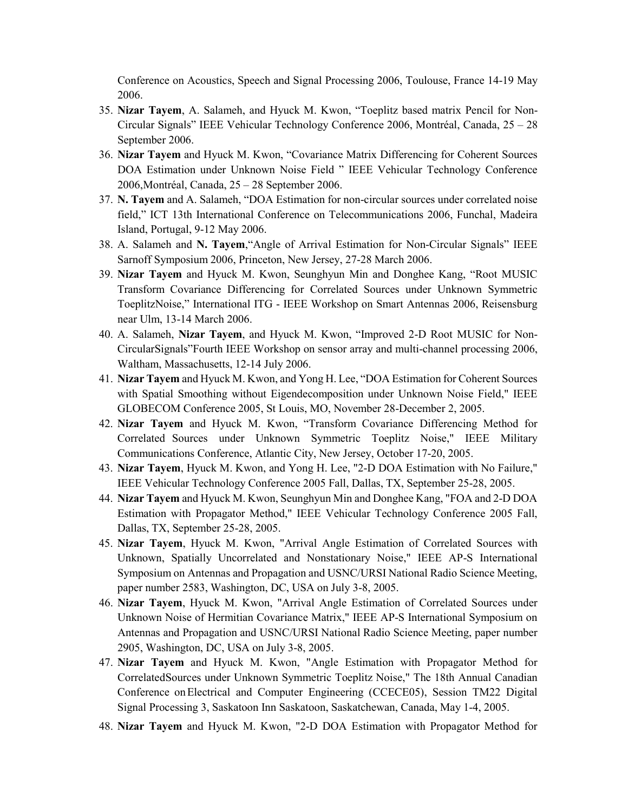Conference on Acoustics, Speech and Signal Processing 2006, Toulouse, France 14-19 May 2006.

- 35. **Nizar Tayem**, A. Salameh, and Hyuck M. Kwon, "Toeplitz based matrix Pencil for Non-Circular Signals" IEEE Vehicular Technology Conference 2006, Montréal, Canada, 25 – 28 September 2006.
- 36. **Nizar Tayem** and Hyuck M. Kwon, "Covariance Matrix Differencing for Coherent Sources DOA Estimation under Unknown Noise Field " IEEE Vehicular Technology Conference 2006,Montréal, Canada, 25 – 28 September 2006.
- 37. **N. Tayem** and A. Salameh, "DOA Estimation for non-circular sources under correlated noise field," ICT 13th International Conference on Telecommunications 2006, Funchal, Madeira Island, Portugal, 9-12 May 2006.
- 38. A. Salameh and **N. Tayem**,"Angle of Arrival Estimation for Non-Circular Signals" IEEE Sarnoff Symposium 2006, Princeton, New Jersey, 27-28 March 2006.
- 39. **Nizar Tayem** and Hyuck M. Kwon, Seunghyun Min and Donghee Kang, "Root MUSIC Transform Covariance Differencing for Correlated Sources under Unknown Symmetric ToeplitzNoise," International ITG - IEEE Workshop on Smart Antennas 2006, Reisensburg near Ulm, 13-14 March 2006.
- 40. A. Salameh, **Nizar Tayem**, and Hyuck M. Kwon, "Improved 2-D Root MUSIC for Non-CircularSignals"Fourth IEEE Workshop on sensor array and multi-channel processing 2006, Waltham, Massachusetts, 12-14 July 2006.
- 41. **Nizar Tayem** and Hyuck M. Kwon, and Yong H. Lee, "DOA Estimation for Coherent Sources with Spatial Smoothing without Eigendecomposition under Unknown Noise Field," IEEE GLOBECOM Conference 2005, St Louis, MO, November 28-December 2, 2005.
- 42. **Nizar Tayem** and Hyuck M. Kwon, "Transform Covariance Differencing Method for Correlated Sources under Unknown Symmetric Toeplitz Noise," IEEE Military Communications Conference, Atlantic City, New Jersey, October 17-20, 2005.
- 43. **Nizar Tayem**, Hyuck M. Kwon, and Yong H. Lee, "2-D DOA Estimation with No Failure," IEEE Vehicular Technology Conference 2005 Fall, Dallas, TX, September 25-28, 2005.
- 44. **Nizar Tayem** and Hyuck M. Kwon, Seunghyun Min and Donghee Kang, "FOA and 2-D DOA Estimation with Propagator Method," IEEE Vehicular Technology Conference 2005 Fall, Dallas, TX, September 25-28, 2005.
- 45. **Nizar Tayem**, Hyuck M. Kwon, "Arrival Angle Estimation of Correlated Sources with Unknown, Spatially Uncorrelated and Nonstationary Noise," IEEE AP-S International Symposium on Antennas and Propagation and USNC/URSI National Radio Science Meeting, paper number 2583, Washington, DC, USA on July 3-8, 2005.
- 46. **Nizar Tayem**, Hyuck M. Kwon, "Arrival Angle Estimation of Correlated Sources under Unknown Noise of Hermitian Covariance Matrix," IEEE AP-S International Symposium on Antennas and Propagation and USNC/URSI National Radio Science Meeting, paper number 2905, Washington, DC, USA on July 3-8, 2005.
- 47. **Nizar Tayem** and Hyuck M. Kwon, "Angle Estimation with Propagator Method for CorrelatedSources under Unknown Symmetric Toeplitz Noise," The 18th Annual Canadian Conference onElectrical and Computer Engineering (CCECE05), Session TM22 Digital Signal Processing 3, Saskatoon Inn Saskatoon, Saskatchewan, Canada, May 1-4, 2005.
- 48. **Nizar Tayem** and Hyuck M. Kwon, "2-D DOA Estimation with Propagator Method for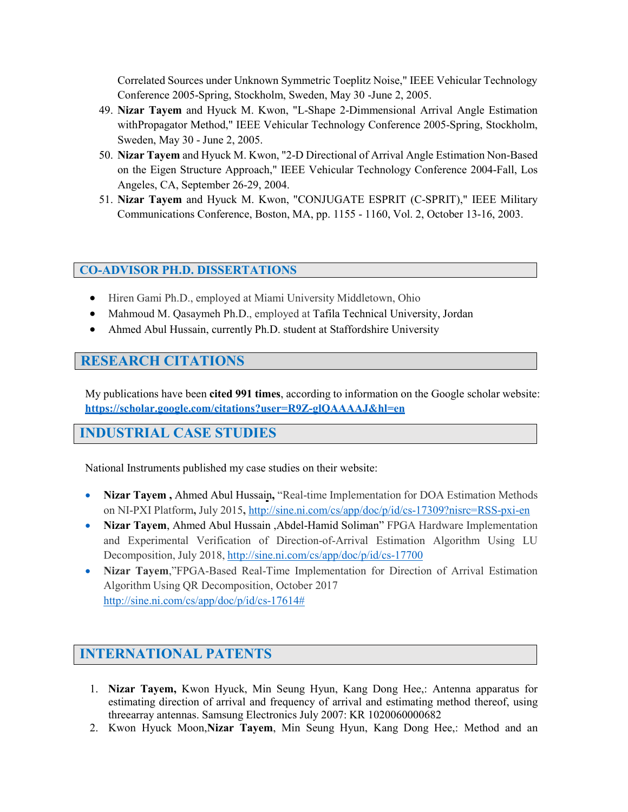Correlated Sources under Unknown Symmetric Toeplitz Noise," IEEE Vehicular Technology Conference 2005-Spring, Stockholm, Sweden, May 30 -June 2, 2005.

- 49. **Nizar Tayem** and Hyuck M. Kwon, "L-Shape 2-Dimmensional Arrival Angle Estimation withPropagator Method," IEEE Vehicular Technology Conference 2005-Spring, Stockholm, Sweden, May 30 - June 2, 2005.
- 50. **Nizar Tayem** and Hyuck M. Kwon, "2-D Directional of Arrival Angle Estimation Non-Based on the Eigen Structure Approach," IEEE Vehicular Technology Conference 2004-Fall, Los Angeles, CA, September 26-29, 2004.
- 51. **Nizar Tayem** and Hyuck M. Kwon, "CONJUGATE ESPRIT (C-SPRIT)," IEEE Military Communications Conference, Boston, MA, pp. 1155 - 1160, Vol. 2, October 13-16, 2003.

#### **CO-ADVISOR PH.D. DISSERTATIONS**

- Hiren Gami Ph.D., employed at Miami University Middletown, Ohio
- Mahmoud M. Qasaymeh Ph.D., employed at Tafila [Technical University,](https://www.researchgate.net/institution/Tafila_Technical_University) Jordan
- Ahmed Abul Hussain, currently Ph.D. student at Staffordshire University

### **RESEARCH CITATIONS**

My publications have been **cited 991 times**, according to information on the Google scholar website: **<https://scholar.google.com/citations?user=R9Z-glQAAAAJ&hl=en>**

## **INDUSTRIAL CASE STUDIES**

National Instruments published my case studies on their website:

- **Nizar Tayem**, Ahmed Abul Hussain, "Real-time Implementation for DOA Estimation Methods on NI-PXI Platform**,** July 2015**,** <http://sine.ni.com/cs/app/doc/p/id/cs-17309?nisrc=RSS-pxi-en>
- **Nizar Tayem**, Ahmed Abul Hussain ,Abdel-Hamid Soliman" FPGA Hardware Implementation and Experimental Verification of Direction-of-Arrival Estimation Algorithm Using LU Decomposition, July 2018, <http://sine.ni.com/cs/app/doc/p/id/cs-17700>
- **Nizar Tayem**,"FPGA-Based Real-Time Implementation for Direction of Arrival Estimation Algorithm Using QR Decomposition, October 2017 [http://sine.ni.com/cs/app/doc/p/id/cs-17614#](http://sine.ni.com/cs/app/doc/p/id/cs-17614)

# **INTERNATIONAL PATENTS**

- 1. **Nizar [Tayem,](http://patent.ipexl.com/inventor/Nizar_Tayem_1.html)** Kwon [Hyuck,](http://patent.ipexl.com/inventor/Kwon_Hyuck_1.html) Min [Seung](http://patent.ipexl.com/inventor/Min_Seung_Hyun_1.html) Hyun, Kang [Dong](http://patent.ipexl.com/inventor/Kang_Dong_Hee_1.html) Hee,: Antenna [apparatus](http://patent.ipexl.com/topic/Antenna_apparatus_for_estimating_direction_of_arrival_and_frequency_of_arrival_and_estimating_1.html) for estimating direction of arrival and frequency of arrival and [estimating](http://patent.ipexl.com/topic/Antenna_apparatus_for_estimating_direction_of_arrival_and_frequency_of_arrival_and_estimating_1.html) method thereof, using [threea](http://patent.ipexl.com/topic/Antenna_apparatus_for_estimating_direction_of_arrival_and_frequency_of_arrival_and_estimating_1.html)rray [antennas.](http://patent.ipexl.com/topic/Antenna_apparatus_for_estimating_direction_of_arrival_and_frequency_of_arrival_and_estimating_1.html) Samsung [Electronics](http://patent.ipexl.com/topic/Antenna_apparatus_for_estimating_direction_of_arrival_and_frequency_of_arrival_and_estimating_1.html) July [2007:](http://patent.ipexl.com/date/20070726_1.html) KR [1020060000682](http://patent.ipexl.com/KR/1020060000682.html)
- 2. Kwon [Hyuck](http://patent.ipexl.com/inventor/Kwon_Hyuck_Moon_1.html) Moon,**Nizar [Tayem](http://patent.ipexl.com/inventor/Kwon_Hyuck_Moon_1.html)**[,](http://patent.ipexl.com/inventor/Kwon_Hyuck_Moon_1.html) Min Seung [Hyun,](http://patent.ipexl.com/inventor/Kwon_Hyuck_Moon_1.html) [Kang](http://patent.ipexl.com/inventor/Kang_Dong_Hee_1.html) Dong Hee,: Method and an